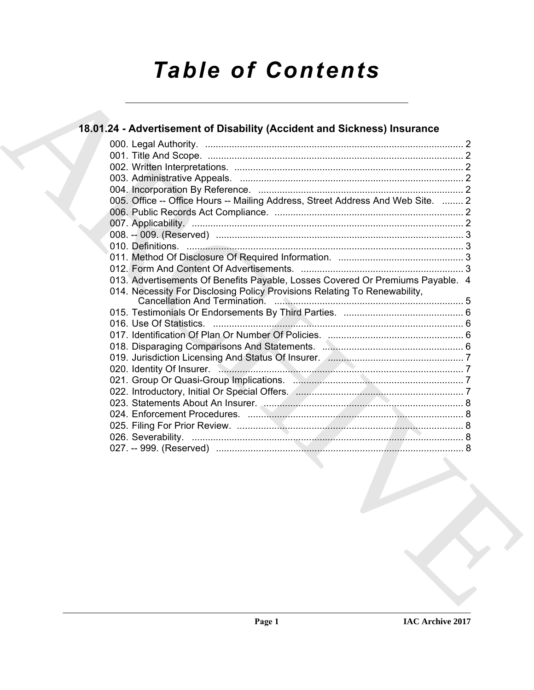# *Table of Contents*

## 18.01.24 - [A](#page-1-0)dvertisement of Disability (Accident and Sickness) [I](#page-6-2)nsurance<br>
22<br>
000.1 Tele And Scope.<br>
22<br>
000.1 Tele And Scope.<br>
22<br>
000.1 Tele And Scope.<br>
22<br>
000.1 Tele And Scope.<br>
000.1 Tele And Scope.<br>
000.1 Tele And Sc **18.01.24 - Advertisement of Disability (Accident and Sickness) Insurance** 000. Legal Authority. ................................................................................................. 2 001. Title And Scope. ................................................................................................ 2 002. Written Interpretations. ...................................................................................... 2 003. Administrative Appeals. .................................................................................... 2 004. Incorporation By Reference. ............................................................................. 2 005. Office -- Office Hours -- Mailing Address, Street Address And Web Site. ........ 2 006. Public Records Act Compliance. ....................................................................... 2 007. Applicability. ...................................................................................................... 2 008. -- 009. (Reserved) ............................................................................................. 3 010. Definitions. ........................................................................................................ 3 011. Method Of Disclosure Of Required Information. ............................................... 3 012. Form And Content Of Advertisements. ............................................................. 3 013. Advertisements Of Benefits Payable, Losses Covered Or Premiums Payable. 4 014. Necessity For Disclosing Policy Provisions Relating To Renewability, Cancellation And Termination. ....................................................................... 5 015. Testimonials Or Endorsements By Third Parties. ............................................. 6 016. Use Of Statistics. .............................................................................................. 6 017. Identification Of Plan Or Number Of Policies. ................................................... 6 018. Disparaging Comparisons And Statements. ..................................................... 6 019. Jurisdiction Licensing And Status Of Insurer. ................................................... 7 020. Identity Of Insurer. ............................................................................................ 7 021. Group Or Quasi-Group Implications. ................................................................ 7 022. Introductory, Initial Or Special Offers. ............................................................... 7 023. Statements About An Insurer. ........................................................................... 8 024. Enforcement Procedures. ................................................................................. 8 025. Filing For Prior Review. ..................................................................................... 8 026. Severability. ...................................................................................................... 8 027. -- 999. (Reserved) ............................................................................................. 8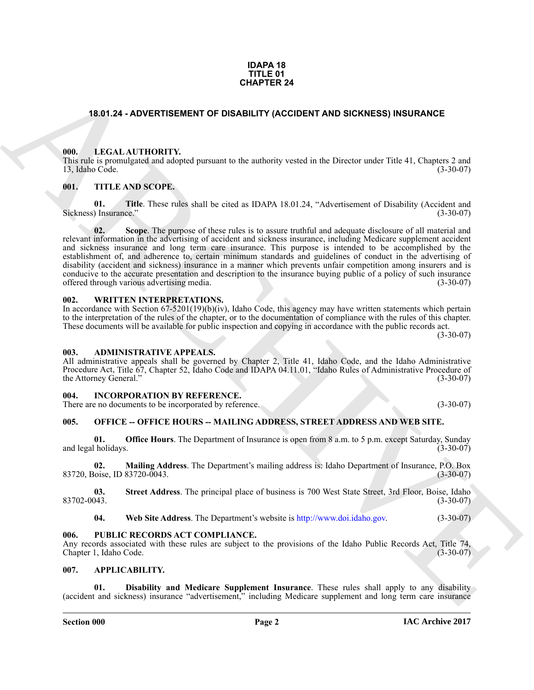#### **IDAPA 18 TITLE 01 CHAPTER 24**

### <span id="page-1-0"></span>**18.01.24 - ADVERTISEMENT OF DISABILITY (ACCIDENT AND SICKNESS) INSURANCE**

#### <span id="page-1-1"></span>**000. LEGAL AUTHORITY.**

This rule is promulgated and adopted pursuant to the authority vested in the Director under Title 41, Chapters 2 and 13, Idaho Code. (3-30-07)

#### <span id="page-1-2"></span>**001. TITLE AND SCOPE.**

**01. Title**. These rules shall be cited as IDAPA 18.01.24, "Advertisement of Disability (Accident and ) Insurance." Sickness) Insurance."

**CHAPTER 24**<br>
18.01.24 - AD[V](http://www.doi.idaho.gov)ERTIBEMENT OF DISABILITY (ACCIDENT AND SICKNESS) INSURANCE<br>
18.01.24 - ADVERTIBEMENT OF DISABILITY (ACCIDENT AND SICKNESS) INSURANCE<br>
18.1. TITLE AND SCOPE.<br>
18.1. TITLE AND SCOPE.<br>
18.1. TITLE **02. Scope**. The purpose of these rules is to assure truthful and adequate disclosure of all material and relevant information in the advertising of accident and sickness insurance, including Medicare supplement accident and sickness insurance and long term care insurance. This purpose is intended to be accomplished by the establishment of, and adherence to, certain minimum standards and guidelines of conduct in the advertising of disability (accident and sickness) insurance in a manner which prevents unfair competition among insurers and is conducive to the accurate presentation and description to the insurance buying public of a policy of such insurance<br>offered through various advertising media. (3-30-07) offered through various advertising media.

#### <span id="page-1-3"></span>**002. WRITTEN INTERPRETATIONS.**

In accordance with Section 67-5201(19)(b)(iv), Idaho Code, this agency may have written statements which pertain to the interpretation of the rules of the chapter, or to the documentation of compliance with the rules of this chapter. These documents will be available for public inspection and copying in accordance with the public records act.

(3-30-07)

#### <span id="page-1-4"></span>**003. ADMINISTRATIVE APPEALS.**

All administrative appeals shall be governed by Chapter 2, Title 41, Idaho Code, and the Idaho Administrative Procedure Act, Title 67, Chapter 52, Idaho Code and IDAPA 04.11.01, "Idaho Rules of Administrative Procedure of the Attorney General." (3-30-07)

#### <span id="page-1-5"></span>**004. INCORPORATION BY REFERENCE.**

There are no documents to be incorporated by reference. (3-30-07)

### <span id="page-1-6"></span>**005. OFFICE -- OFFICE HOURS -- MAILING ADDRESS, STREET ADDRESS AND WEB SITE.**

**01. Office Hours**. The Department of Insurance is open from 8 a.m. to 5 p.m. except Saturday, Sunday (1-30-07) and legal holidays.

**02. Mailing Address**. The Department's mailing address is: Idaho Department of Insurance, P.O. Box 83720, Boise, ID 83720-0043.

**03.** Street Address. The principal place of business is 700 West State Street, 3rd Floor, Boise, Idaho (3-30-07) 83702-0043. (3-30-07)

**04. Web Site Address**. The Department's website is http://www.doi.idaho.gov. (3-30-07)

#### <span id="page-1-7"></span>**006. PUBLIC RECORDS ACT COMPLIANCE.**

Any records associated with these rules are subject to the provisions of the Idaho Public Records Act, Title 74, Chapter 1. Idaho Code. (3-30-07) Chapter 1, Idaho Code.

#### <span id="page-1-9"></span><span id="page-1-8"></span>**007. APPLICABILITY.**

<span id="page-1-10"></span>**Disability and Medicare Supplement Insurance**. These rules shall apply to any disability (accident and sickness) insurance "advertisement," including Medicare supplement and long term care insurance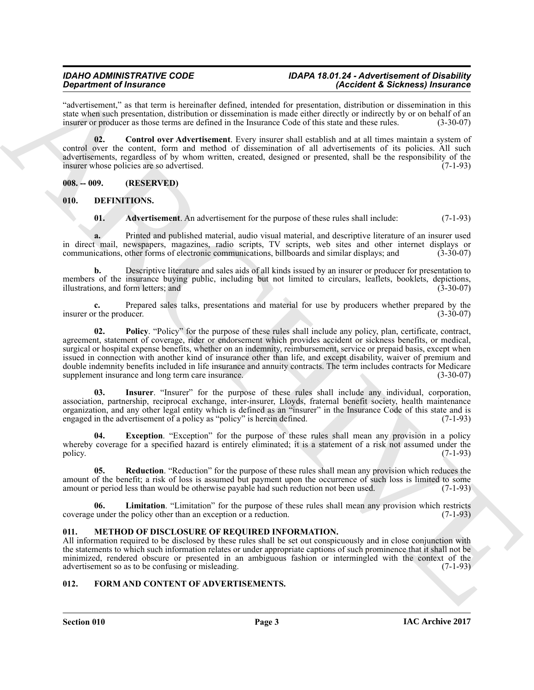#### *IDAHO ADMINISTRATIVE CODE IDAPA 18.01.24 - Advertisement of Disability (Accident & Sickness) Insurance*

"advertisement," as that term is hereinafter defined, intended for presentation, distribution or dissemination in this state when such presentation, distribution or dissemination is made either directly or indirectly by or on behalf of an insurer or producer as those terms are defined in the Insurance Code of this state and these rules. (3 insurer or producer as those terms are defined in the Insurance Code of this state and these rules.

<span id="page-2-4"></span>**02. Control over Advertisement**. Every insurer shall establish and at all times maintain a system of control over the content, form and method of dissemination of all advertisements of its policies. All such advertisements, regardless of by whom written, created, designed or presented, shall be the responsibility of the insurer whose policies are so advertised. (7-1-93)

<span id="page-2-0"></span>**008. -- 009. (RESERVED)**

<span id="page-2-1"></span>**010. DEFINITIONS.**

<span id="page-2-6"></span><span id="page-2-5"></span>**01. Advertisement**. An advertisement for the purpose of these rules shall include: (7-1-93)

**a.** Printed and published material, audio visual material, and descriptive literature of an insurer used in direct mail, newspapers, magazines, radio scripts, TV scripts, web sites and other internet displays or communications, other forms of electronic communications, billboards and similar displays; and (3-30-07) communications, other forms of electronic communications, billboards and similar displays; and

**b.** Descriptive literature and sales aids of all kinds issued by an insurer or producer for presentation to members of the insurance buying public, including but not limited to circulars, leaflets, booklets, depictions, illustrations, and form letters; and illustrations, and form letters; and

<span id="page-2-10"></span>**c.** Prepared sales talks, presentations and material for use by producers whether prepared by the r the producer. (3-30-07) insurer or the producer.

**Specified of Francesco Contained Validad, answer in Geometric distribution of the specified Scheme of the specified of the specified of the specified of the specified of the specified of the specified of the specified of 02. Policy**. "Policy" for the purpose of these rules shall include any policy, plan, certificate, contract, agreement, statement of coverage, rider or endorsement which provides accident or sickness benefits, or medical, surgical or hospital expense benefits, whether on an indemnity, reimbursement, service or prepaid basis, except when issued in connection with another kind of insurance other than life, and except disability, waiver of premium and double indemnity benefits included in life insurance and annuity contracts. The term includes contracts for Medicare supplement insurance and long term care insurance. supplement insurance and long term care insurance.

<span id="page-2-8"></span>**03. Insurer**. "Insurer" for the purpose of these rules shall include any individual, corporation, association, partnership, reciprocal exchange, inter-insurer, Lloyds, fraternal benefit society, health maintenance organization, and any other legal entity which is defined as an "insurer" in the Insurance Code of this state and is engaged in the advertisement of a policy as "policy" is herein defined. (7-1-93)

<span id="page-2-7"></span>**04. Exception**. "Exception" for the purpose of these rules shall mean any provision in a policy whereby coverage for a specified hazard is entirely eliminated; it is a statement of a risk not assumed under the policy. policy.  $(7-1-93)$ 

<span id="page-2-11"></span>**05. Reduction**. "Reduction" for the purpose of these rules shall mean any provision which reduces the amount of the benefit; a risk of loss is assumed but payment upon the occurrence of such loss is limited to some amount or period less than would be otherwise payable had such reduction not been used.  $(7-1-93)$ amount or period less than would be otherwise payable had such reduction not been used.

<span id="page-2-9"></span>**06. Limitation**. "Limitation" for the purpose of these rules shall mean any provision which restricts coverage under the policy other than an exception or a reduction. (7-1-93)

### <span id="page-2-13"></span><span id="page-2-2"></span>**011. METHOD OF DISCLOSURE OF REQUIRED INFORMATION.**

All information required to be disclosed by these rules shall be set out conspicuously and in close conjunction with the statements to which such information relates or under appropriate captions of such prominence that it shall not be minimized, rendered obscure or presented in an ambiguous fashion or intermingled with the context of the advertisement so as to be confusing or misleading. (7-1-93) advertisement so as to be confusing or misleading.

### <span id="page-2-12"></span><span id="page-2-3"></span>**012. FORM AND CONTENT OF ADVERTISEMENTS.**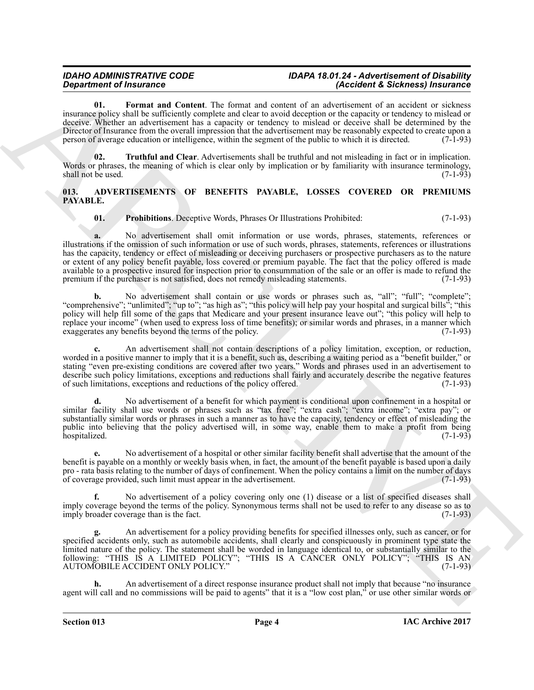#### *IDAHO ADMINISTRATIVE CODE IDAPA 18.01.24 - Advertisement of Disability (Accident & Sickness) Insurance*

<span id="page-3-3"></span>**01. Format and Content**. The format and content of an advertisement of an accident or sickness insurance policy shall be sufficiently complete and clear to avoid deception or the capacity or tendency to mislead or deceive. Whether an advertisement has a capacity or tendency to mislead or deceive shall be determined by the Director of Insurance from the overall impression that the advertisement may be reasonably expected to create upon a person of average education or intelligence, within the segment of the public to which it is directed. (7-1-93)

<span id="page-3-4"></span>**02.** Truthful and Clear. Advertisements shall be truthful and not misleading in fact or in implication. Words or phrases, the meaning of which is clear only by implication or by familiarity with insurance terminology, shall not be used. (7-1-93)

#### <span id="page-3-1"></span><span id="page-3-0"></span>**013. ADVERTISEMENTS OF BENEFITS PAYABLE, LOSSES COVERED OR PREMIUMS PAYABLE.**

### <span id="page-3-2"></span>**01. Prohibitions**. Deceptive Words, Phrases Or Illustrations Prohibited: (7-1-93)

**Department of Finances Control Control Control Control Control Control Control Control Control Control Control Control Control Control Control Control Control Control Control Control Control Control Control Control Contr a.** No advertisement shall omit information or use words, phrases, statements, references or illustrations if the omission of such information or use of such words, phrases, statements, references or illustrations has the capacity, tendency or effect of misleading or deceiving purchasers or prospective purchasers as to the nature or extent of any policy benefit payable, loss covered or premium payable. The fact that the policy offered is made available to a prospective insured for inspection prior to consummation of the sale or an offer is made to refund the premium if the purchaser is not satisfied, does not remedy misleading statements. (7-1-93)

**b.** No advertisement shall contain or use words or phrases such as, "all"; "full"; "complete"; "comprehensive"; "unlimited"; "up to"; "as high as"; "this policy will help pay your hospital and surgical bills"; "this policy will help fill some of the gaps that Medicare and your present insurance leave out"; "this policy will help to replace your income" (when used to express loss of time benefits); or similar words and phrases, in a manner which exaggerates any benefits beyond the terms of the policy. (7-1-93) exaggerates any benefits beyond the terms of the policy.

**c.** An advertisement shall not contain descriptions of a policy limitation, exception, or reduction, worded in a positive manner to imply that it is a benefit, such as, describing a waiting period as a "benefit builder," or stating "even pre-existing conditions are covered after two years." Words and phrases used in an advertisement to describe such policy limitations, exceptions and reductions shall fairly and accurately describe the negative features of such limitations, exceptions and reductions of the policy offered. (7-1-93)

**d.** No advertisement of a benefit for which payment is conditional upon confinement in a hospital or similar facility shall use words or phrases such as "tax free"; "extra cash"; "extra income"; "extra pay"; or substantially similar words or phrases in such a manner as to have the capacity, tendency or effect of misleading the public into believing that the policy advertised will, in some way, enable them to make a profit from being hospitalized. (7-1-93)

**e.** No advertisement of a hospital or other similar facility benefit shall advertise that the amount of the benefit is payable on a monthly or weekly basis when, in fact, the amount of the benefit payable is based upon a daily pro - rata basis relating to the number of days of confinement. When the policy contains a limit on the number of days of coverage provided, such limit must appear in the advertisement. (7-1-93) of coverage provided, such limit must appear in the advertisement.

**f.** No advertisement of a policy covering only one (1) disease or a list of specified diseases shall imply coverage beyond the terms of the policy. Synonymous terms shall not be used to refer to any disease so as to imply broader coverage than is the fact. (7-1-93)

**g.** An advertisement for a policy providing benefits for specified illnesses only, such as cancer, or for specified accidents only, such as automobile accidents, shall clearly and conspicuously in prominent type state the limited nature of the policy. The statement shall be worded in language identical to, or substantially similar to the following: "THIS IS A LIMITED POLICY"; "THIS IS A CANCER ONLY POLICY"; "THIS IS AN AUTOMOBILE ACCIDENT ONLY POLICY." (7-1-93)

**h.** An advertisement of a direct response insurance product shall not imply that because "no insurance agent will call and no commissions will be paid to agents" that it is a "low cost plan," or use other similar words or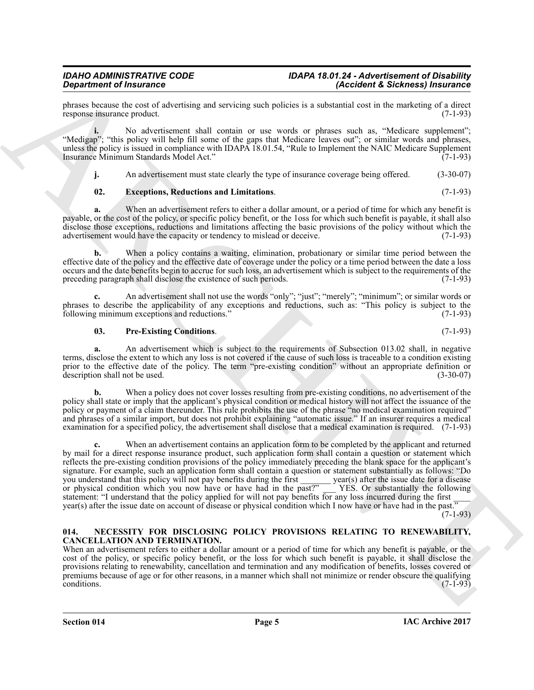phrases because the cost of advertising and servicing such policies is a substantial cost in the marketing of a direct response insurance product. (7-1-93) response insurance product.

**i.** No advertisement shall contain or use words or phrases such as, "Medicare supplement"; "Medigap"; "this policy will help fill some of the gaps that Medicare leaves out"; or similar words and phrases, unless the policy is issued in compliance with IDAPA 18.01.54, "Rule to Implement the NAIC Medicare Supplement<br>Insurance Minimum Standards Model Act." (7-1-93) Insurance Minimum Standards Model Act."

<span id="page-4-1"></span>**j.** An advertisement must state clearly the type of insurance coverage being offered. (3-30-07)

### **02. Exceptions, Reductions and Limitations**. (7-1-93)

**a.** When an advertisement refers to either a dollar amount, or a period of time for which any benefit is payable, or the cost of the policy, or specific policy benefit, or the 1oss for which such benefit is payable, it shall also disclose those exceptions, reductions and limitations affecting the basic provisions of the policy without which the advertisement would have the capacity or tendency to mislead or deceive. (7-1-93) advertisement would have the capacity or tendency to mislead or deceive.

**b.** When a policy contains a waiting, elimination, probationary or similar time period between the effective date of the policy and the effective date of coverage under the policy or a time period between the date a loss occurs and the date benefits begin to accrue for such loss, an advertisement which is subject to the requirements of the preceding paragraph shall disclose the existence of such periods. (7-1-93)

**c.** An advertisement shall not use the words "only"; "just"; "merely"; "minimum"; or similar words or phrases to describe the applicability of any exceptions and reductions, such as: "This policy is subject to the following minimum exceptions and reductions." (7-1-93)

#### <span id="page-4-2"></span>**03. Pre-Existing Conditions**. (7-1-93)

**a.** An advertisement which is subject to the requirements of Subsection 013.02 shall, in negative terms, disclose the extent to which any loss is not covered if the cause of such loss is traceable to a condition existing prior to the effective date of the policy. The term "pre-existing condition" without an appropriate definition or description shall not be used. (3-30-07) description shall not be used.

**b.** When a policy does not cover losses resulting from pre-existing conditions, no advertisement of the policy shall state or imply that the applicant's physical condition or medical history will not affect the issuance of the policy or payment of a claim thereunder. This rule prohibits the use of the phrase "no medical examination required" and phrases of a similar import, but does not prohibit explaining "automatic issue." If an insurer requires a medical examination for a specified policy, the advertisement shall disclose that a medical examination is required. (7-1-93)

**Singularize of Findments Constraints and Staventy and Delcos as a subsequent of Electrical properties of the United States of the United States of the United States of the United States of the United States of the United** When an advertisement contains an application form to be completed by the applicant and returned by mail for a direct response insurance product, such application form shall contain a question or statement which reflects the pre-existing condition provisions of the policy immediately preceding the blank space for the applicant's signature. For example, such an application form shall contain a question or statement substantially as follows: "Do you understand that this policy will not pay benefits during the first vear(s) after the issue date for a you understand that this policy will not pay benefits during the first or physical condition which you now have or have had in the past?" \_\_\_ YES. Or substantially the following statement: "I understand that the policy applied for will not pay benefits for any loss incurred during the first year(s) after the issue date on account of disease or physical condition which I now have or have had in the past."

 $(7-1-93)$ 

#### <span id="page-4-3"></span><span id="page-4-0"></span>**014. NECESSITY FOR DISCLOSING POLICY PROVISIONS RELATING TO RENEWABILITY, CANCELLATION AND TERMINATION.**

When an advertisement refers to either a dollar amount or a period of time for which any benefit is payable, or the cost of the policy, or specific policy benefit, or the loss for which such benefit is payable, it shall disclose the provisions relating to renewability, cancellation and termination and any modification of benefits, losses covered or premiums because of age or for other reasons, in a manner which shall not minimize or render obscure the qualifying conditions.  $\text{conditions.}$  (7-1-93)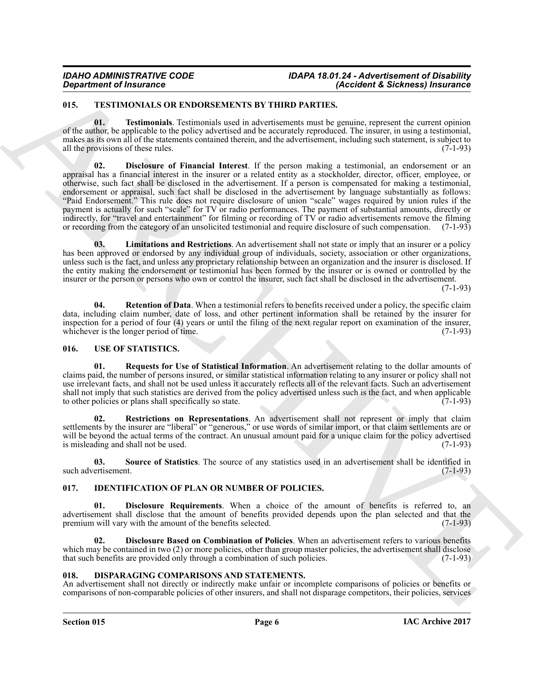### <span id="page-5-8"></span><span id="page-5-0"></span>**015. TESTIMONIALS OR ENDORSEMENTS BY THIRD PARTIES.**

<span id="page-5-12"></span><span id="page-5-9"></span>**01. Testimonials**. Testimonials used in advertisements must be genuine, represent the current opinion of the author, be applicable to the policy advertised and be accurately reproduced. The insurer, in using a testimonial, makes as its own all of the statements contained therein, and the advertisement, including such statement, is subject to all the provisions of these rules. (7-1-93)

*Department of Insurance*<br> **ARCHIVENG CONTENT IN THE PASSION CONTENT ASSESS ARE ARCHIVENG CONTENT ASSESS ARE ARCHIVENG CONTENT ASSESS ARE ARCHIVENG CONTENT AND CONTENT ASSESS ARE ARCHIVENG CONTENT AND ARCHIVENG CONTENT 02. Disclosure of Financial Interest**. If the person making a testimonial, an endorsement or an appraisal has a financial interest in the insurer or a related entity as a stockholder, director, officer, employee, or otherwise, such fact shall be disclosed in the advertisement. If a person is compensated for making a testimonial, endorsement or appraisal, such fact shall be disclosed in the advertisement by language substantially as follows: "Paid Endorsement." This rule does not require disclosure of union "scale" wages required by union rules if the payment is actually for such "scale" for TV or radio performances. The payment of substantial amounts, directly or indirectly, for "travel and entertainment" for filming or recording of TV or radio advertisements remove the filming or recording from the category of an unsolicited testimonial and require disclosure of such compensation. (7-1-93)

<span id="page-5-10"></span>**03. Limitations and Restrictions**. An advertisement shall not state or imply that an insurer or a policy has been approved or endorsed by any individual group of individuals, society, association or other organizations, unless such is the fact, and unless any proprietary relationship between an organization and the insurer is disclosed. If the entity making the endorsement or testimonial has been formed by the insurer or is owned or controlled by the insurer or the person or persons who own or control the insurer, such fact shall be disclosed in the advertisement.

 $(7-1-93)$ 

<span id="page-5-11"></span>**04.** Retention of Data. When a testimonial refers to benefits received under a policy, the specific claim data, including claim number, date of loss, and other pertinent information shall be retained by the insurer for inspection for a period of four (4) years or until the filing of the next regular report on examination of the insurer, whichever is the longer period of time. (7-1-93) whichever is the longer period of time.

### <span id="page-5-13"></span><span id="page-5-1"></span>**016. USE OF STATISTICS.**

<span id="page-5-14"></span>**01. Requests for Use of Statistical Information**. An advertisement relating to the dollar amounts of claims paid, the number of persons insured, or similar statistical information relating to any insurer or policy shall not use irrelevant facts, and shall not be used unless it accurately reflects all of the relevant facts. Such an advertisement shall not imply that such statistics are derived from the policy advertised unless such is the fact, and when applicable to other policies or plans shall specifically so state. to other policies or plans shall specifically so state.

<span id="page-5-15"></span>**02. Restrictions on Representations**. An advertisement shall not represent or imply that claim settlements by the insurer are "liberal" or "generous," or use words of similar import, or that claim settlements are or will be beyond the actual terms of the contract. An unusual amount paid for a unique claim for the policy advertised is misleading and shall not be used. (7-1-93) is misleading and shall not be used.

<span id="page-5-16"></span>**03. Source of Statistics**. The source of any statistics used in an advertisement shall be identified in such advertisement. (7-1-93)

### <span id="page-5-5"></span><span id="page-5-2"></span>**017. IDENTIFICATION OF PLAN OR NUMBER OF POLICIES.**

<span id="page-5-7"></span>**01. Disclosure Requirements**. When a choice of the amount of benefits is referred to, an advertisement shall disclose that the amount of benefits provided depends upon the plan selected and that the premium will vary with the amount of the benefits selected. (7-1-93) premium will vary with the amount of the benefits selected.

<span id="page-5-6"></span>**02. Disclosure Based on Combination of Policies**. When an advertisement refers to various benefits which may be contained in two (2) or more policies, other than group master policies, the advertisement shall disclose that such benefits are provided only through a combination of such policies. (7-1-93) that such benefits are provided only through a combination of such policies.

### <span id="page-5-4"></span><span id="page-5-3"></span>**018. DISPARAGING COMPARISONS AND STATEMENTS.**

An advertisement shall not directly or indirectly make unfair or incomplete comparisons of policies or benefits or comparisons of non-comparable policies of other insurers, and shall not disparage competitors, their policies, services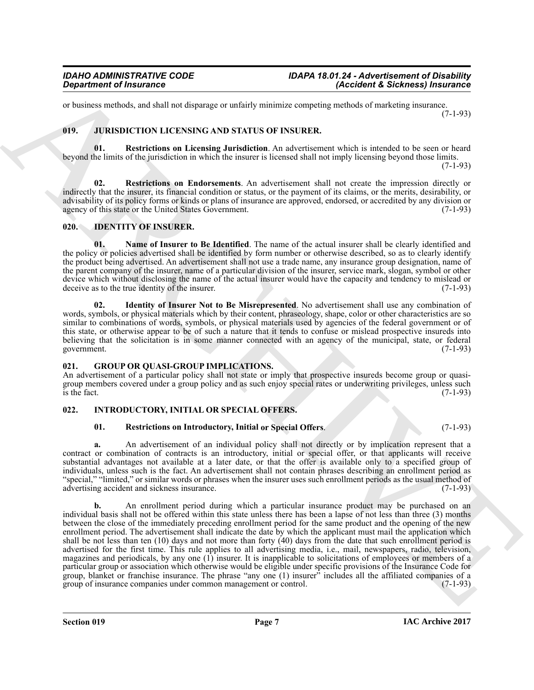or business methods, and shall not disparage or unfairly minimize competing methods of marketing insurance. (7-1-93)

### <span id="page-6-12"></span><span id="page-6-10"></span><span id="page-6-0"></span>**019. JURISDICTION LICENSING AND STATUS OF INSURER.**

**01. Restrictions on Licensing Jurisdiction**. An advertisement which is intended to be seen or heard beyond the limits of the jurisdiction in which the insurer is licensed shall not imply licensing beyond those limits. (7-1-93)

<span id="page-6-11"></span>**02. Restrictions on Endorsements**. An advertisement shall not create the impression directly or indirectly that the insurer, its financial condition or status, or the payment of its claims, or the merits, desirability, or advisability of its policy forms or kinds or plans of insurance are approved, endorsed, or accredited by any division or agency of this state or the United States Government. agency of this state or the United States Government.

### <span id="page-6-5"></span><span id="page-6-1"></span>**020. IDENTITY OF INSURER.**

<span id="page-6-7"></span>**01. Name of Insurer to Be Identified**. The name of the actual insurer shall be clearly identified and the policy or policies advertised shall be identified by form number or otherwise described, so as to clearly identify the product being advertised. An advertisement shall not use a trade name, any insurance group designation, name of the parent company of the insurer, name of a particular division of the insurer, service mark, slogan, symbol or other device which without disclosing the name of the actual insurer would have the capacity and tendency to mislead or deceive as to the true identity of the insurer. (7-1-93) deceive as to the true identity of the insurer.

<span id="page-6-6"></span>**02. Identity of Insurer Not to Be Misrepresented**. No advertisement shall use any combination of words, symbols, or physical materials which by their content, phraseology, shape, color or other characteristics are so similar to combinations of words, symbols, or physical materials used by agencies of the federal government or of this state, or otherwise appear to be of such a nature that it tends to confuse or mislead prospective insureds into believing that the solicitation is in some manner connected with an agency of the municipal, state, or federal government. (7-1-93) government. (7-1-93)

#### <span id="page-6-4"></span><span id="page-6-2"></span>**021. GROUP OR QUASI-GROUP IMPLICATIONS.**

An advertisement of a particular policy shall not state or imply that prospective insureds become group or quasigroup members covered under a group policy and as such enjoy special rates or underwriting privileges, unless such is the fact. (7-1-93) is the fact.  $(7-1-93)$ 

### <span id="page-6-3"></span>**022. INTRODUCTORY, INITIAL OR SPECIAL OFFERS.**

#### <span id="page-6-9"></span><span id="page-6-8"></span>**01. Restrictions on Introductory, Initial or Special Offers**. (7-1-93)

**a.** An advertisement of an individual policy shall not directly or by implication represent that a contract or combination of contracts is an introductory, initial or special offer, or that applicants will receive substantial advantages not available at a later date, or that the offer is available only to a specified group of individuals, unless such is the fact. An advertisement shall not contain phrases describing an enrollment period as "special," "limited," or similar words or phrases when the insurer uses such enrollment periods as the usual method of advertising accident and sickness insurance. advertising accident and sickness insurance.

**Signal rine of Insurance**<br> **Signal rine of the same of the same of the same of the same of the same of the same of the same of the same of the same of the same of the same of the same of the same of the same of the same b.** An enrollment period during which a particular insurance product may be purchased on an individual basis shall not be offered within this state unless there has been a lapse of not less than three (3) months between the close of the immediately preceding enrollment period for the same product and the opening of the new enrollment period. The advertisement shall indicate the date by which the applicant must mail the application which shall be not less than ten (10) days and not more than forty (40) days from the date that such enrollment period is advertised for the first time. This rule applies to all advertising media, i.e., mail, newspapers, radio, television, magazines and periodicals, by any one (1) insurer. It is inapplicable to solicitations of employees or members of a particular group or association which otherwise would be eligible under specific provisions of the Insurance Code for group, blanket or franchise insurance. The phrase "any one (1) insurer" includes all the affiliated companies of a group of insurance companies under common management or control. (7-1-93)

**Section 019 Page 7**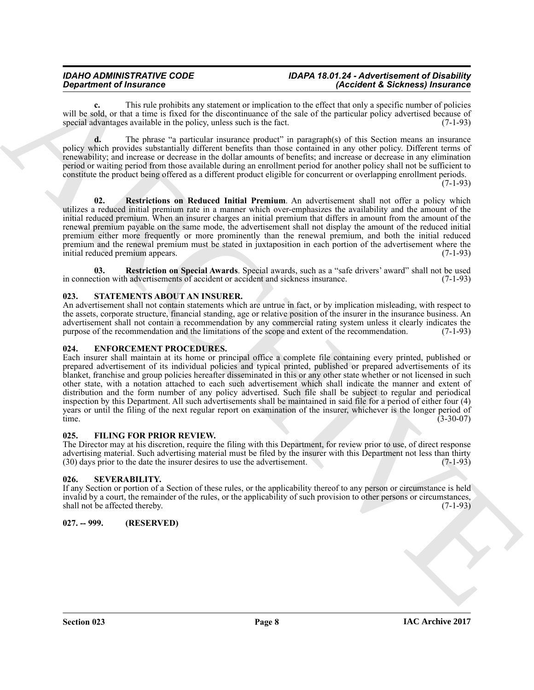#### *IDAHO ADMINISTRATIVE CODE IDAPA 18.01.24 - Advertisement of Disability (Accident & Sickness) Insurance*

**c.** This rule prohibits any statement or implication to the effect that only a specific number of policies will be sold, or that a time is fixed for the discontinuance of the sale of the particular policy advertised because of special advantages available in the policy unless such is the fact. (7-1-93) special advantages available in the policy, unless such is the fact.

**d.** The phrase "a particular insurance product" in paragraph(s) of this Section means an insurance policy which provides substantially different benefits than those contained in any other policy. Different terms of renewability; and increase or decrease in the dollar amounts of benefits; and increase or decrease in any elimination period or waiting period from those available during an enrollment period for another policy shall not be sufficient to constitute the product being offered as a different product eligible for concurrent or overlapping enrollment periods. (7-1-93)

<span id="page-7-7"></span>**02. Restrictions on Reduced Initial Premium**. An advertisement shall not offer a policy which utilizes a reduced initial premium rate in a manner which over-emphasizes the availability and the amount of the initial reduced premium. When an insurer charges an initial premium that differs in amount from the amount of the renewal premium payable on the same mode, the advertisement shall not display the amount of the reduced initial premium either more frequently or more prominently than the renewal premium, and both the initial reduced premium and the renewal premium must be stated in juxtaposition in each portion of the advertisement where the initial reduced premium appears. (7-1-93) initial reduced premium appears.

<span id="page-7-6"></span>**03. Restriction on Special Awards**. Special awards, such as a "safe drivers' award" shall not be used etion with advertisements of accident or accident and sickness insurance. (7-1-93) in connection with advertisements of accident or accident and sickness insurance.

### <span id="page-7-8"></span><span id="page-7-0"></span>**023. STATEMENTS ABOUT AN INSURER.**

An advertisement shall not contain statements which are untrue in fact, or by implication misleading, with respect to the assets, corporate structure, financial standing, age or relative position of the insurer in the insurance business. An advertisement shall not contain a recommendation by any commercial rating system unless it clearly indicates the purpose of the recommendation and the limitations of the scope and extent of the recommendation. (7-1-93) purpose of the recommendation and the limitations of the scope and extent of the recommendation.

### <span id="page-7-5"></span><span id="page-7-1"></span>**024. ENFORCEMENT PROCEDURES.**

**Signal rine of Francesco Control is a statement of the signal state of Alechand Francesco Francesco Control in the signal response of the signal rine of the signal response of the signal range of the signal range of the** Each insurer shall maintain at its home or principal office a complete file containing every printed, published or prepared advertisement of its individual policies and typical printed, published or prepared advertisements of its blanket, franchise and group policies hereafter disseminated in this or any other state whether or not licensed in such other state, with a notation attached to each such advertisement which shall indicate the manner and extent of distribution and the form number of any policy advertised. Such file shall be subject to regular and periodical inspection by this Department. All such advertisements shall be maintained in said file for a period of either four (4) years or until the filing of the next regular report on examination of the insurer, whichever is the longer period of time. time. (3-30-07)

### <span id="page-7-2"></span>**025. FILING FOR PRIOR REVIEW.**

The Director may at his discretion, require the filing with this Department, for review prior to use, of direct response advertising material. Such advertising material must be filed by the insurer with this Department not less than thirty (30) days prior to the date the insurer desires to use the advertisement. (7-1-93)

### <span id="page-7-3"></span>**026. SEVERABILITY.**

If any Section or portion of a Section of these rules, or the applicability thereof to any person or circumstance is held invalid by a court, the remainder of the rules, or the applicability of such provision to other persons or circumstances, shall not be affected thereby.

<span id="page-7-4"></span>**027. -- 999. (RESERVED)**